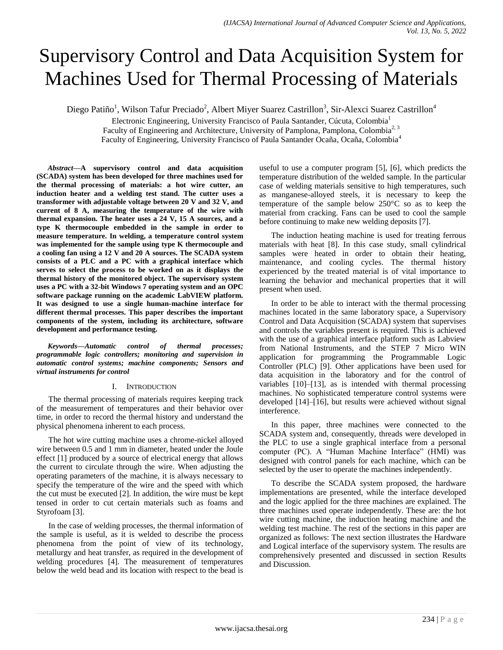# Supervisory Control and Data Acquisition System for Machines Used for Thermal Processing of Materials

Diego Patiño<sup>1</sup>, Wilson Tafur Preciado<sup>2</sup>, Albert Miyer Suarez Castrillon<sup>3</sup>, Sir-Alexci Suarez Castrillon<sup>4</sup>

Electronic Engineering, University Francisco of Paula Santander, Cúcuta, Colombia<sup>1</sup> Faculty of Engineering and Architecture, University of Pamplona, Pamplona, Colombia<sup>2, 3</sup> Faculty of Engineering, University Francisco of Paula Santander Ocaña, Ocaña, Colombia<sup>4</sup>

*Abstract***—A supervisory control and data acquisition (SCADA) system has been developed for three machines used for the thermal processing of materials: a hot wire cutter, an induction heater and a welding test stand. The cutter uses a transformer with adjustable voltage between 20 V and 32 V, and current of 8 A, measuring the temperature of the wire with thermal expansion. The heater uses a 24 V, 15 A sources, and a type K thermocouple embedded in the sample in order to measure temperature. In welding, a temperature control system was implemented for the sample using type K thermocouple and a cooling fan using a 12 V and 20 A sources. The SCADA system consists of a PLC and a PC with a graphical interface which serves to select the process to be worked on as it displays the thermal history of the monitored object. The supervisory system uses a PC with a 32-bit Windows 7 operating system and an OPC software package running on the academic LabVIEW platform. It was designed to use a single human-machine interface for different thermal processes. This paper describes the important components of the system, including its architecture, software development and performance testing.**

*Keywords—Automatic control of thermal processes; programmable logic controllers; monitoring and supervision in automatic control systems; machine components; Sensors and virtual instruments for control*

# I. INTRODUCTION

The thermal processing of materials requires keeping track of the measurement of temperatures and their behavior over time, in order to record the thermal history and understand the physical phenomena inherent to each process.

The hot wire cutting machine uses a chrome-nickel alloyed wire between 0.5 and 1 mm in diameter, heated under the Joule effect [1] produced by a source of electrical energy that allows the current to circulate through the wire. When adjusting the operating parameters of the machine, it is always necessary to specify the temperature of the wire and the speed with which the cut must be executed [2]. In addition, the wire must be kept tensed in order to cut certain materials such as foams and Styrofoam [3].

In the case of welding processes, the thermal information of the sample is useful, as it is welded to describe the process phenomena from the point of view of its technology, metallurgy and heat transfer, as required in the development of welding procedures [4]. The measurement of temperatures below the weld bead and its location with respect to the bead is useful to use a computer program [5], [6], which predicts the temperature distribution of the welded sample. In the particular case of welding materials sensitive to high temperatures, such as manganese-alloyed steels, it is necessary to keep the temperature of the sample below 250°C so as to keep the material from cracking. Fans can be used to cool the sample before continuing to make new welding deposits [7].

The induction heating machine is used for treating ferrous materials with heat [8]. In this case study, small cylindrical samples were heated in order to obtain their heating, maintenance, and cooling cycles. The thermal history experienced by the treated material is of vital importance to learning the behavior and mechanical properties that it will present when used.

In order to be able to interact with the thermal processing machines located in the same laboratory space, a Supervisory Control and Data Acquisition (SCADA) system that supervises and controls the variables present is required. This is achieved with the use of a graphical interface platform such as Labview from National Instruments, and the STEP 7 Micro WIN application for programming the Programmable Logic Controller (PLC) [9]. Other applications have been used for data acquisition in the laboratory and for the control of variables [10]–[13], as is intended with thermal processing machines. No sophisticated temperature control systems were developed [14]–[16], but results were achieved without signal interference.

In this paper, three machines were connected to the SCADA system and, consequently, threads were developed in the PLC to use a single graphical interface from a personal computer (PC). A "Human Machine Interface" (HMI) was designed with control panels for each machine, which can be selected by the user to operate the machines independently.

To describe the SCADA system proposed, the hardware implementations are presented, while the interface developed and the logic applied for the three machines are explained. The three machines used operate independently. These are: the hot wire cutting machine, the induction heating machine and the welding test machine. The rest of the sections in this paper are organized as follows: The next section illustrates the Hardware and Logical interface of the supervisory system. The results are comprehensively presented and discussed in section Results and Discussion.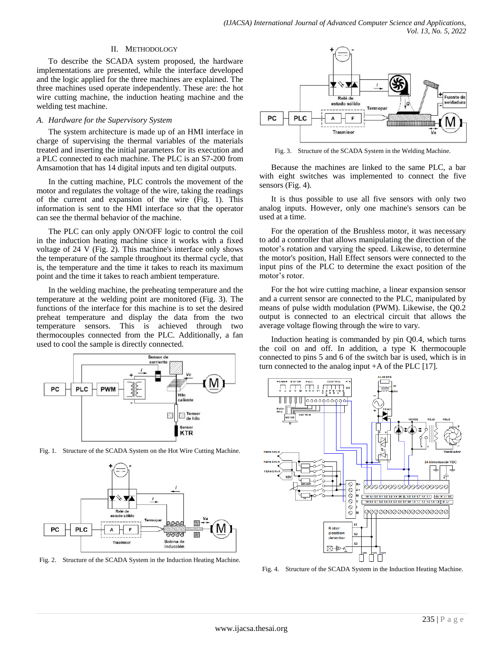## II. METHODOLOGY

To describe the SCADA system proposed, the hardware implementations are presented, while the interface developed and the logic applied for the three machines are explained. The three machines used operate independently. These are: the hot wire cutting machine, the induction heating machine and the welding test machine.

## *A. Hardware for the Supervisory System*

The system architecture is made up of an HMI interface in charge of supervising the thermal variables of the materials treated and inserting the initial parameters for its execution and a PLC connected to each machine. The PLC is an S7-200 from Amsamotion that has 14 digital inputs and ten digital outputs.

In the cutting machine, PLC controls the movement of the motor and regulates the voltage of the wire, taking the readings of the current and expansion of the wire (Fig. 1). This information is sent to the HMI interface so that the operator can see the thermal behavior of the machine.

The PLC can only apply ON/OFF logic to control the coil in the induction heating machine since it works with a fixed voltage of 24 V (Fig. 2). This machine's interface only shows the temperature of the sample throughout its thermal cycle, that is, the temperature and the time it takes to reach its maximum point and the time it takes to reach ambient temperature.

In the welding machine, the preheating temperature and the temperature at the welding point are monitored (Fig. 3). The functions of the interface for this machine is to set the desired preheat temperature and display the data from the two temperature sensors. This is achieved through two thermocouples connected from the PLC. Additionally, a fan used to cool the sample is directly connected.



Fig. 1. Structure of the SCADA System on the Hot Wire Cutting Machine.



Fig. 2. Structure of the SCADA System in the Induction Heating Machine.



Fig. 3. Structure of the SCADA System in the Welding Machine.

Because the machines are linked to the same PLC, a bar with eight switches was implemented to connect the five sensors (Fig. 4).

It is thus possible to use all five sensors with only two analog inputs. However, only one machine's sensors can be used at a time.

For the operation of the Brushless motor, it was necessary to add a controller that allows manipulating the direction of the motor's rotation and varying the speed. Likewise, to determine the motor's position, Hall Effect sensors were connected to the input pins of the PLC to determine the exact position of the motor's rotor.

For the hot wire cutting machine, a linear expansion sensor and a current sensor are connected to the PLC, manipulated by means of pulse width modulation (PWM). Likewise, the Q0.2 output is connected to an electrical circuit that allows the average voltage flowing through the wire to vary.

Induction heating is commanded by pin Q0.4, which turns the coil on and off. In addition, a type K thermocouple connected to pins 5 and 6 of the switch bar is used, which is in turn connected to the analog input +A of the PLC [17].



Fig. 4. Structure of the SCADA System in the Induction Heating Machine.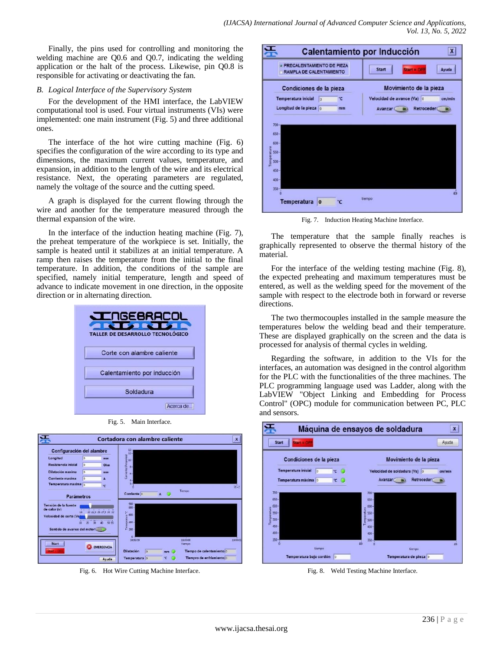Finally, the pins used for controlling and monitoring the welding machine are Q0.6 and Q0.7, indicating the welding application or the halt of the process. Likewise, pin Q0.8 is responsible for activating or deactivating the fan.

# *B. Logical Interface of the Supervisory System*

For the development of the HMI interface, the LabVIEW computational tool is used. Four virtual instruments (VIs) were implemented: one main instrument (Fig. 5) and three additional ones.

The interface of the hot wire cutting machine (Fig. 6) specifies the configuration of the wire according to its type and dimensions, the maximum current values, temperature, and expansion, in addition to the length of the wire and its electrical resistance. Next, the operating parameters are regulated, namely the voltage of the source and the cutting speed.

A graph is displayed for the current flowing through the wire and another for the temperature measured through the thermal expansion of the wire.

In the interface of the induction heating machine (Fig. 7), the preheat temperature of the workpiece is set. Initially, the sample is heated until it stabilizes at an initial temperature. A ramp then raises the temperature from the initial to the final temperature. In addition, the conditions of the sample are specified, namely initial temperature, length and speed of advance to indicate movement in one direction, in the opposite direction or in alternating direction.



Fig. 5. Main Interface.



Fig. 6. Hot Wire Cutting Machine Interface.



Fig. 7. Induction Heating Machine Interface.

The temperature that the sample finally reaches is graphically represented to observe the thermal history of the material.

For the interface of the welding testing machine (Fig. 8), the expected preheating and maximum temperatures must be entered, as well as the welding speed for the movement of the sample with respect to the electrode both in forward or reverse directions.

The two thermocouples installed in the sample measure the temperatures below the welding bead and their temperature. These are displayed graphically on the screen and the data is processed for analysis of thermal cycles in welding.

Regarding the software, in addition to the VIs for the interfaces, an automation was designed in the control algorithm for the PLC with the functionalities of the three machines. The PLC programming language used was Ladder, along with the LabVIEW "Object Linking and Embedding for Process Control" (OPC) module for communication between PC, PLC and sensors.



Fig. 8. Weld Testing Machine Interface.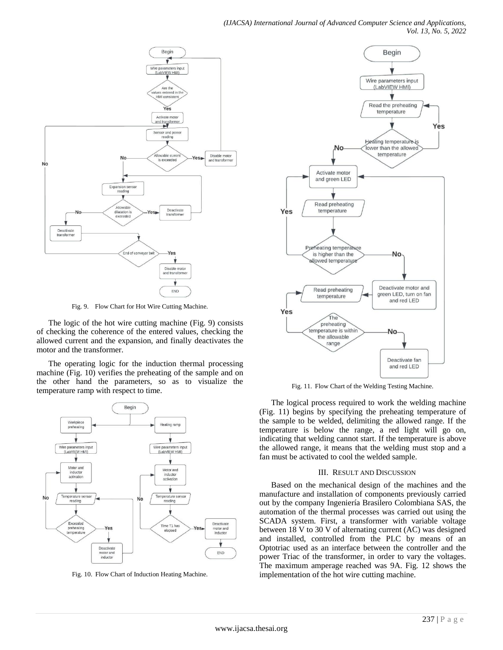

Fig. 9. Flow Chart for Hot Wire Cutting Machine.

The logic of the hot wire cutting machine (Fig. 9) consists of checking the coherence of the entered values, checking the allowed current and the expansion, and finally deactivates the motor and the transformer.

The operating logic for the induction thermal processing machine (Fig. 10) verifies the preheating of the sample and on the other hand the parameters, so as to visualize the temperature ramp with respect to time.



Fig. 10. Flow Chart of Induction Heating Machine.



Fig. 11. Flow Chart of the Welding Testing Machine.

The logical process required to work the welding machine (Fig. 11) begins by specifying the preheating temperature of the sample to be welded, delimiting the allowed range. If the temperature is below the range, a red light will go on, indicating that welding cannot start. If the temperature is above the allowed range, it means that the welding must stop and a fan must be activated to cool the welded sample.

## III. RESULT AND DISCUSSION

Based on the mechanical design of the machines and the manufacture and installation of components previously carried out by the company Ingeniería Brasilero Colombiana SAS, the automation of the thermal processes was carried out using the SCADA system. First, a transformer with variable voltage between 18 V to 30 V of alternating current (AC) was designed and installed, controlled from the PLC by means of an Optotriac used as an interface between the controller and the power Triac of the transformer, in order to vary the voltages. The maximum amperage reached was 9A. Fig. 12 shows the implementation of the hot wire cutting machine.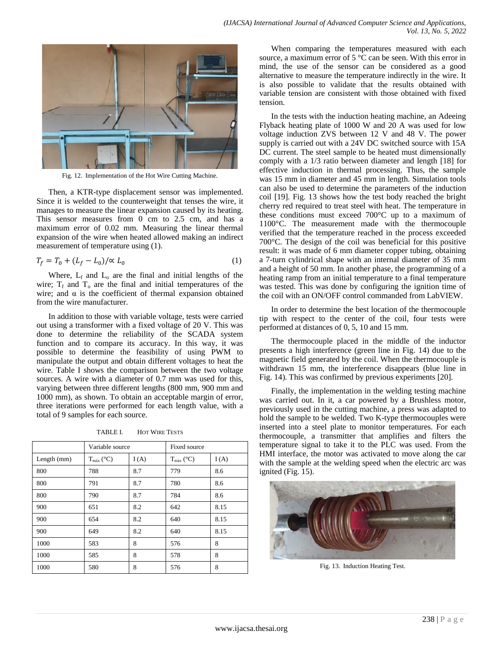

Fig. 12. Implementation of the Hot Wire Cutting Machine.

Then, a KTR-type displacement sensor was implemented. Since it is welded to the counterweight that tenses the wire, it manages to measure the linear expansion caused by its heating. This sensor measures from 0 cm to 2.5 cm, and has a maximum error of 0.02 mm. Measuring the linear thermal expansion of the wire when heated allowed making an indirect measurement of temperature using (1).

$$
T_f = T_0 + (L_f - L_0) / \alpha L_0 \tag{1}
$$

Where,  $L_f$  and  $L_o$  are the final and initial lengths of the wire;  $T_f$  and  $T_o$  are the final and initial temperatures of the wire; and  $\alpha$  is the coefficient of thermal expansion obtained from the wire manufacturer.

In addition to those with variable voltage, tests were carried out using a transformer with a fixed voltage of 20 V. This was done to determine the reliability of the SCADA system function and to compare its accuracy. In this way, it was possible to determine the feasibility of using PWM to manipulate the output and obtain different voltages to heat the wire. Table I shows the comparison between the two voltage sources. A wire with a diameter of 0.7 mm was used for this, varying between three different lengths (800 mm, 900 mm and 1000 mm), as shown. To obtain an acceptable margin of error, three iterations were performed for each length value, with a total of 9 samples for each source.

TABLE I. HOT WIRE TESTS

|             | Variable source       |      | Fixed source          |      |
|-------------|-----------------------|------|-----------------------|------|
| Length (mm) | $T_{\text{max}}$ (°C) | I(A) | $T_{\text{max}}$ (°C) | I(A) |
| 800         | 788                   | 8.7  | 779                   | 8.6  |
| 800         | 791                   | 8.7  | 780                   | 8.6  |
| 800         | 790                   | 8.7  | 784                   | 8.6  |
| 900         | 651                   | 8.2  | 642                   | 8.15 |
| 900         | 654                   | 8.2  | 640                   | 8.15 |
| 900         | 649                   | 8.2  | 640                   | 8.15 |
| 1000        | 583                   | 8    | 576                   | 8    |
| 1000        | 585                   | 8    | 578                   | 8    |
| 1000        | 580                   | 8    | 576                   | 8    |

When comparing the temperatures measured with each source, a maximum error of 5 °C can be seen. With this error in mind, the use of the sensor can be considered as a good alternative to measure the temperature indirectly in the wire. It is also possible to validate that the results obtained with variable tension are consistent with those obtained with fixed tension.

In the tests with the induction heating machine, an Adeeing Flyback heating plate of 1000 W and 20 A was used for low voltage induction ZVS between 12 V and 48 V. The power supply is carried out with a 24V DC switched source with 15A DC current. The steel sample to be heated must dimensionally comply with a 1/3 ratio between diameter and length [18] for effective induction in thermal processing. Thus, the sample was 15 mm in diameter and 45 mm in length. Simulation tools can also be used to determine the parameters of the induction coil [19]. Fig. 13 shows how the test body reached the bright cherry red required to treat steel with heat. The temperature in these conditions must exceed 700°C up to a maximum of 1100°C. The measurement made with the thermocouple verified that the temperature reached in the process exceeded 700°C. The design of the coil was beneficial for this positive result: it was made of 6 mm diameter copper tubing, obtaining a 7-turn cylindrical shape with an internal diameter of 35 mm and a height of 50 mm. In another phase, the programming of a heating ramp from an initial temperature to a final temperature was tested. This was done by configuring the ignition time of the coil with an ON/OFF control commanded from LabVIEW.

In order to determine the best location of the thermocouple tip with respect to the center of the coil, four tests were performed at distances of 0, 5, 10 and 15 mm.

The thermocouple placed in the middle of the inductor presents a high interference (green line in Fig. 14) due to the magnetic field generated by the coil. When the thermocouple is withdrawn 15 mm, the interference disappears (blue line in Fig. 14). This was confirmed by previous experiments [20].

Finally, the implementation in the welding testing machine was carried out. In it, a car powered by a Brushless motor, previously used in the cutting machine, a press was adapted to hold the sample to be welded. Two K-type thermocouples were inserted into a steel plate to monitor temperatures. For each thermocouple, a transmitter that amplifies and filters the temperature signal to take it to the PLC was used. From the HMI interface, the motor was activated to move along the car with the sample at the welding speed when the electric arc was ignited (Fig. 15).



Fig. 13. Induction Heating Test.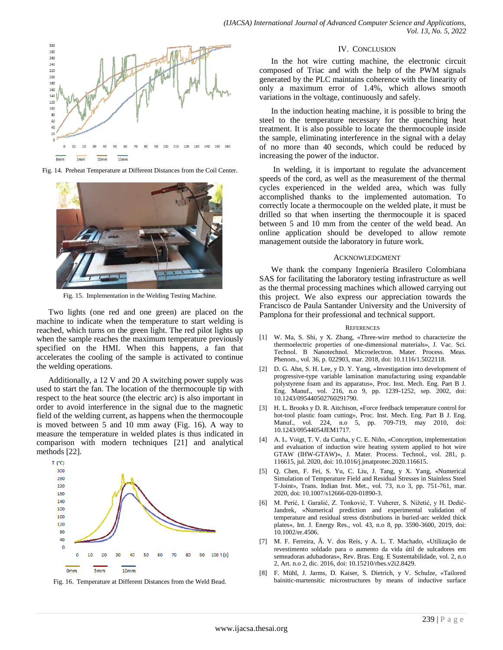







Fig. 15. Implementation in the Welding Testing Machine.

Two lights (one red and one green) are placed on the machine to indicate when the temperature to start welding is reached, which turns on the green light. The red pilot lights up when the sample reaches the maximum temperature previously specified on the HMI. When this happens, a fan that accelerates the cooling of the sample is activated to continue the welding operations.

Additionally, a 12 V and 20 A switching power supply was used to start the fan. The location of the thermocouple tip with respect to the heat source (the electric arc) is also important in order to avoid interference in the signal due to the magnetic field of the welding current, as happens when the thermocouple is moved between 5 and 10 mm away (Fig. 16). A way to measure the temperature in welded plates is thus indicated in comparison with modern techniques [21] and analytical methods [22].



Fig. 16. Temperature at Different Distances from the Weld Bead.

## IV. CONCLUSION

In the hot wire cutting machine, the electronic circuit composed of Triac and with the help of the PWM signals generated by the PLC maintains coherence with the linearity of only a maximum error of 1.4%, which allows smooth variations in the voltage, continuously and safely.

In the induction heating machine, it is possible to bring the steel to the temperature necessary for the quenching heat treatment. It is also possible to locate the thermocouple inside the sample, eliminating interference in the signal with a delay of no more than 40 seconds, which could be reduced by increasing the power of the inductor.

In welding, it is important to regulate the advancement speeds of the cord, as well as the measurement of the thermal cycles experienced in the welded area, which was fully accomplished thanks to the implemented automation. To correctly locate a thermocouple on the welded plate, it must be drilled so that when inserting the thermocouple it is spaced between 5 and 10 mm from the center of the weld bead. An online application should be developed to allow remote management outside the laboratory in future work.

## ACKNOWLEDGMENT

We thank the company Ingeniería Brasilero Colombiana SAS for facilitating the laboratory testing infrastructure as well as the thermal processing machines which allowed carrying out this project. We also express our appreciation towards the Francisco de Paula Santander University and the University of Pamplona for their professional and technical support.

#### **REFERENCES**

- [1] W. Ma, S. Shi, y X. Zhang, «Three-wire method to characterize the thermoelectric properties of one-dimensional materials», J. Vac. Sci. Technol. B Nanotechnol. Microelectron. Mater. Process. Meas. Phenom., vol. 36, p. 022903, mar. 2018, doi: 10.1116/1.5022118.
- [2] D. G. Ahn, S. H. Lee, y D. Y. Yang, «Investigation into development of progressive-type variable lamination manufacturing using expandable polystyrene foam and its apparatus», Proc. Inst. Mech. Eng. Part B J. Eng. Manuf., vol. 216, n.o 9, pp. 1239-1252, sep. 2002, doi: 10.1243/095440502760291790.
- [3] H. L. Brooks y D. R. Aitchison, «Force feedback temperature control for hot-tool plastic foam cutting», Proc. Inst. Mech. Eng. Part B J. Eng. Manuf., vol. 224, n.o 5, pp. 709-719, may 2010, doi: 10.1243/09544054JEM1717.
- [4] A. L. Voigt, T. V. da Cunha, y C. E. Niño, «Conception, implementation and evaluation of induction wire heating system applied to hot wire GTAW (IHW-GTAW)», J. Mater. Process. Technol., vol. 281, p. 116615, jul. 2020, doi: 10.1016/j.jmatprotec.2020.116615.
- [5] Q. Chen, F. Fei, S. Yu, C. Liu, J. Tang, y X. Yang, «Numerical Simulation of Temperature Field and Residual Stresses in Stainless Steel T-Joint», Trans. Indian Inst. Met., vol. 73, n.o 3, pp. 751-761, mar. 2020, doi: 10.1007/s12666-020-01890-3.
- [6] M. Perić, I. Garašić, Z. Tonković, T. Vuherer, S. Nižetić, y H. Dedić-Jandrek, «Numerical prediction and experimental validation of temperature and residual stress distributions in buried-arc welded thick plates», Int. J. Energy Res., vol. 43, n.o 8, pp. 3590-3600, 2019, doi: 10.1002/er.4506.
- [7] M. F. Ferreira, Â. V. dos Reis, y A. L. T. Machado, «Utilização de revestimento soldado para o aumento da vida útil de sulcadores em semeadoras adubadoras», Rev. Bras. Eng. E Sustentabilidade, vol. 2, n.o 2, Art. n.o 2, dic. 2016, doi: 10.15210/rbes.v2i2.8429.
- [8] F. Mühl, J. Jarms, D. Kaiser, S. Dietrich, y V. Schulze, «Tailored bainitic-martensitic microstructures by means of inductive surface